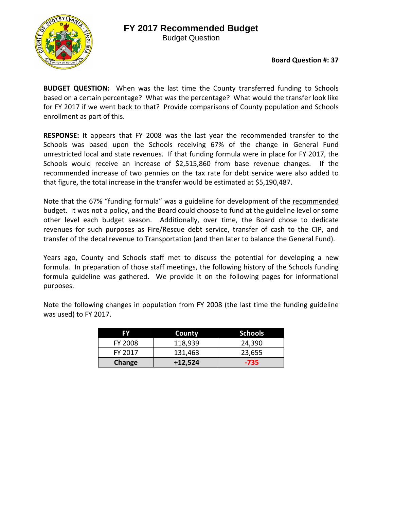## **FY 2017 Recommended Budget**



Budget Question

**BUDGET QUESTION:** When was the last time the County transferred funding to Schools based on a certain percentage? What was the percentage? What would the transfer look like for FY 2017 if we went back to that? Provide comparisons of County population and Schools enrollment as part of this.

**RESPONSE:** It appears that FY 2008 was the last year the recommended transfer to the Schools was based upon the Schools receiving 67% of the change in General Fund unrestricted local and state revenues. If that funding formula were in place for FY 2017, the Schools would receive an increase of \$2,515,860 from base revenue changes. If the recommended increase of two pennies on the tax rate for debt service were also added to that figure, the total increase in the transfer would be estimated at \$5,190,487.

Note that the 67% "funding formula" was a guideline for development of the recommended budget. It was not a policy, and the Board could choose to fund at the guideline level or some other level each budget season. Additionally, over time, the Board chose to dedicate revenues for such purposes as Fire/Rescue debt service, transfer of cash to the CIP, and transfer of the decal revenue to Transportation (and then later to balance the General Fund).

Years ago, County and Schools staff met to discuss the potential for developing a new formula. In preparation of those staff meetings, the following history of the Schools funding formula guideline was gathered. We provide it on the following pages for informational purposes.

Note the following changes in population from FY 2008 (the last time the funding guideline was used) to FY 2017.

| EV             | County    | <b>Schools</b> |
|----------------|-----------|----------------|
| <b>FY 2008</b> | 118,939   | 24,390         |
| FY 2017        | 131,463   | 23,655         |
| Change         | $+12,524$ | $-735$         |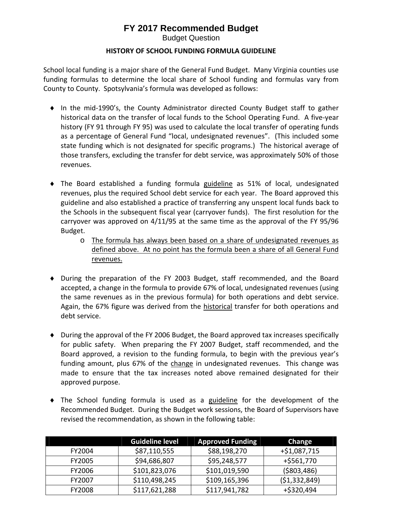## **FY 2017 Recommended Budget**

Budget Question

## **HISTORY OF SCHOOL FUNDING FORMULA GUIDELINE**

School local funding is a major share of the General Fund Budget. Many Virginia counties use funding formulas to determine the local share of School funding and formulas vary from County to County. Spotsylvania's formula was developed as follows:

- In the mid‐1990's, the County Administrator directed County Budget staff to gather historical data on the transfer of local funds to the School Operating Fund. A five-year history (FY 91 through FY 95) was used to calculate the local transfer of operating funds as a percentage of General Fund "local, undesignated revenues". (This included some state funding which is not designated for specific programs.) The historical average of those transfers, excluding the transfer for debt service, was approximately 50% of those revenues.
- The Board established a funding formula guideline as 51% of local, undesignated revenues, plus the required School debt service for each year. The Board approved this guideline and also established a practice of transferring any unspent local funds back to the Schools in the subsequent fiscal year (carryover funds). The first resolution for the carryover was approved on 4/11/95 at the same time as the approval of the FY 95/96 Budget.
	- o The formula has always been based on a share of undesignated revenues as defined above. At no point has the formula been a share of all General Fund revenues.
- During the preparation of the FY 2003 Budget, staff recommended, and the Board accepted, a change in the formula to provide 67% of local, undesignated revenues (using the same revenues as in the previous formula) for both operations and debt service. Again, the 67% figure was derived from the historical transfer for both operations and debt service.
- During the approval of the FY 2006 Budget, the Board approved tax increases specifically for public safety. When preparing the FY 2007 Budget, staff recommended, and the Board approved, a revision to the funding formula, to begin with the previous year's funding amount, plus 67% of the change in undesignated revenues. This change was made to ensure that the tax increases noted above remained designated for their approved purpose.
- The School funding formula is used as a guideline for the development of the Recommended Budget. During the Budget work sessions, the Board of Supervisors have revised the recommendation, as shown in the following table:

|               | <b>Guideline level</b> | <b>Approved Funding</b> | Change         |
|---------------|------------------------|-------------------------|----------------|
| FY2004        | \$87,110,555           | \$88,198,270            | $+ $1,087,715$ |
| <b>FY2005</b> | \$94,686,807           | \$95,248,577            | $+ $561,770$   |
| <b>FY2006</b> | \$101,823,076          | \$101,019,590           | ( \$803,486)   |
| FY2007        | \$110,498,245          | \$109,165,396           | (51, 332, 849) |
| <b>FY2008</b> | \$117,621,288          | \$117,941,782           | +\$320,494     |